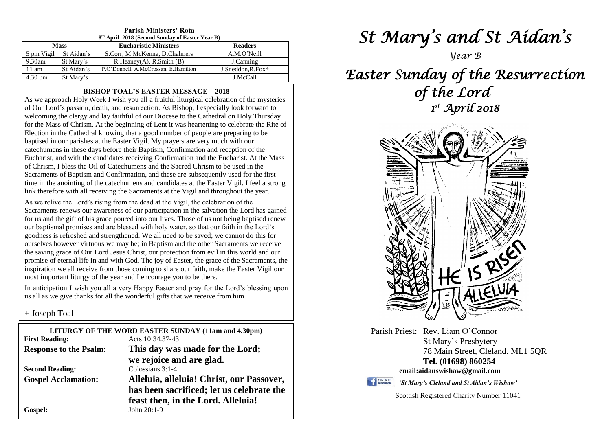| 8 <sup>th</sup> April 2018 (Second Sunday of Easter Year B) |            |                                      |                    |  |  |  |
|-------------------------------------------------------------|------------|--------------------------------------|--------------------|--|--|--|
| <b>Mass</b>                                                 |            | <b>Eucharistic Ministers</b>         | <b>Readers</b>     |  |  |  |
| 5 pm Vigil                                                  | St Aidan's | S.Corr, M.McKenna, D.Chalmers        | A.M.O'Neill        |  |  |  |
| $9.30$ am                                                   | St Mary's  | R.Heanev(A), R.Smith(B)              | J.Canning          |  |  |  |
| $11 \text{ am}$                                             | St Aidan's | P.O'Donnell, A.McCrossan, E.Hamilton | $J.Sneddon.R.Fox*$ |  |  |  |
| $4.30 \text{ pm}$                                           | St Mary's  |                                      | J.McCall           |  |  |  |

## **Parish Ministers' Rota**

#### **BISHOP TOAL'S EASTER MESSAGE – 2018**

As we approach Holy Week I wish you all a fruitful liturgical celebration of the mysteries of Our Lord's passion, death, and resurrection. As Bishop, I especially look forward to welcoming the clergy and lay faithful of our Diocese to the Cathedral on Holy Thursday for the Mass of Chrism. At the beginning of Lent it was heartening to celebrate the Rite of Election in the Cathedral knowing that a good number of people are preparing to be baptised in our parishes at the Easter Vigil. My prayers are very much with our catechumens in these days before their Baptism, Confirmation and reception of the Eucharist, and with the candidates receiving Confirmation and the Eucharist. At the Mass of Chrism, I bless the Oil of Catechumens and the Sacred Chrism to be used in the Sacraments of Baptism and Confirmation, and these are subsequently used for the first time in the anointing of the catechumens and candidates at the Easter Vigil. I feel a strong link therefore with all receiving the Sacraments at the Vigil and throughout the year.

our baptismal promises and are blessed with holy water, so that our faith in the Lord's goodness is refreshed and strengthened. We all need to be saved; we cannot do this for the saving grace of Our Lord Jesus Christ, our protection from evil in this world and our<br>promise of eternal life in and with God. The joy of Easter, the grace of the Sacraments, the most important liturgy of the year and I encourage you to be there.<br>In anticipation I wish you all a yery Happy Easter and pray for the As we relive the Lord's rising from the dead at the Vigil, the celebration of the Sacraments renews our awareness of our participation in the salvation the Lord has gained for us and the gift of his grace poured into our lives. Those of us not being baptised renew goodness is refreshed and strengthened. We all need to be saved; we cannot do this for ourselves however virtuous we may be; in Baptism and the other Sacraments we receive the saving grace of Our Lord Jesus Christ, our protection from evil in this world and our inspiration we all receive from those coming to share our faith, make the Easter Vigil our

as all as we give thanks for all the wonderful gifts that we receive from him.<br> $\frac{1}{2}$  **Lease b**  $\text{Teal}$ In anticipation I wish you all a very Happy Easter and pray for the Lord's blessing upon

+ Joseph Toal

| LITURGY OF THE WORD EASTER SUNDAY (11am and 4.30pm) |                                           |  |  |  |
|-----------------------------------------------------|-------------------------------------------|--|--|--|
| <b>First Reading:</b>                               | Acts $10:34.37-43$                        |  |  |  |
| <b>Response to the Psalm:</b>                       | This day was made for the Lord;           |  |  |  |
|                                                     | we rejoice and are glad.                  |  |  |  |
| <b>Second Reading:</b>                              | Colossians 3:1-4                          |  |  |  |
| <b>Gospel Acclamation:</b>                          | Alleluia, alleluia! Christ, our Passover, |  |  |  |
|                                                     | has been sacrificed; let us celebrate the |  |  |  |
|                                                     | feast then, in the Lord. Alleluia!        |  |  |  |
| Gospel:                                             | John $20:1-9$                             |  |  |  |
|                                                     |                                           |  |  |  |

# *St Mary's and St Aidan's*

*Year B*

## *Easter Sunday of the Resurrection of the Lord 1 st April 2018*



Parish Priest: Rev. Liam O'Connor St Mary's Presbytery 78 Main Street, Cleland. ML1 5QR **Tel. (01698) 860254 email:aidanswishaw@gmail.com**

Find us on

*'St Mary's Cleland and St Aidan's Wishaw'*

Scottish Registered Charity Number 11041